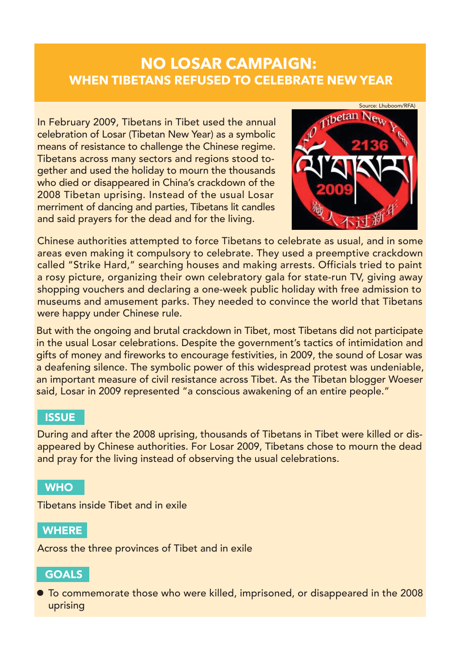# **NO LOSAR CAMPAIGN: WHEN TIBETANS REFUSED TO CELEBRATE NEW YEAR**

In February 2009, Tibetans in Tibet used the annual celebration of Losar (Tibetan New Year) as a symbolic means of resistance to challenge the Chinese regime. Tibetans across many sectors and regions stood together and used the holiday to mourn the thousands who died or disappeared in China's crackdown of the 2008 Tibetan uprising. Instead of the usual Losar merriment of dancing and parties, Tibetans lit candles and said prayers for the dead and for the living.



Chinese authorities attempted to force Tibetans to celebrate as usual, and in some areas even making it compulsory to celebrate. They used a preemptive crackdown called "Strike Hard," searching houses and making arrests. Officials tried to paint a rosy picture, organizing their own celebratory gala for state-run TV, giving away shopping vouchers and declaring a one-week public holiday with free admission to museums and amusement parks. They needed to convince the world that Tibetans were happy under Chinese rule.

But with the ongoing and brutal crackdown in Tibet, most Tibetans did not participate in the usual Losar celebrations. Despite the government's tactics of intimidation and gifts of money and fireworks to encourage festivities, in 2009, the sound of Losar was a deafening silence. The symbolic power of this widespread protest was undeniable, an important measure of civil resistance across Tibet. As the Tibetan blogger Woeser said, Losar in 2009 represented "a conscious awakening of an entire people."

#### **ISSUE**

During and after the 2008 uprising, thousands of Tibetans in Tibet were killed or disappeared by Chinese authorities. For Losar 2009, Tibetans chose to mourn the dead and pray for the living instead of observing the usual celebrations.

#### **WHO**

Tibetans inside Tibet and in exile

**WHERE** 

Across the three provinces of Tibet and in exile

### **GOALS**

To commemorate those who were killed, imprisoned, or disappeared in the 2008 uprising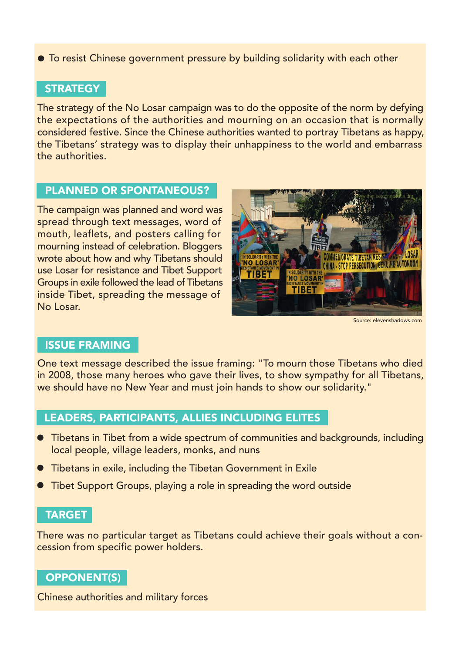To resist Chinese government pressure by building solidarity with each other

### **STRATEGY**

The strategy of the No Losar campaign was to do the opposite of the norm by defying the expectations of the authorities and mourning on an occasion that is normally considered festive. Since the Chinese authorities wanted to portray Tibetans as happy, the Tibetans' strategy was to display their unhappiness to the world and embarrass the authorities.

#### PLANNED OR SPONTANEOUS?

The campaign was planned and word was spread through text messages, word of mouth, leaflets, and posters calling for mourning instead of celebration. Bloggers wrote about how and why Tibetans should use Losar for resistance and Tibet Support Groups in exile followed the lead of Tibetans inside Tibet, spreading the message of No Losar.



Source: elevenshadows.com

### ISSUE FRAMING

One text message described the issue framing: "To mourn those Tibetans who died in 2008, those many heroes who gave their lives, to show sympathy for all Tibetans, we should have no New Year and must join hands to show our solidarity."

### LEADERS, PARTICIPANTS, ALLIES INCLUDING ELITES

- Tibetans in Tibet from a wide spectrum of communities and backgrounds, including local people, village leaders, monks, and nuns
- Tibetans in exile, including the Tibetan Government in Exile
- Tibet Support Groups, playing a role in spreading the word outside

#### TARGET

There was no particular target as Tibetans could achieve their goals without a concession from specific power holders.

### OPPONENT(S)

Chinese authorities and military forces